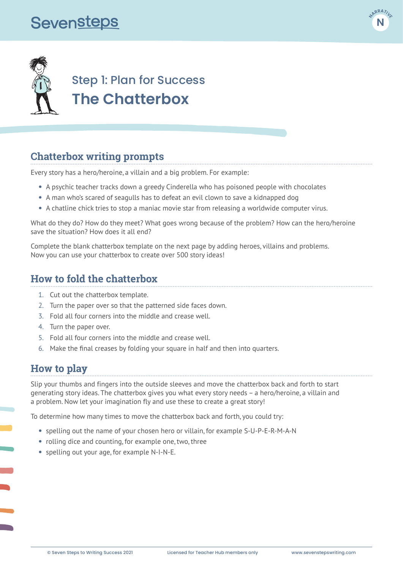# **Sevensteps**





## Step 1: Plan for Success **The Chatterbox**

#### **Chatterbox writing prompts**

Every story has a hero/heroine, a villain and a big problem. For example:

- **•** A psychic teacher tracks down a greedy Cinderella who has poisoned people with chocolates
- **•** A man who's scared of seagulls has to defeat an evil clown to save a kidnapped dog
- **•** A chatline chick tries to stop a maniac movie star from releasing a worldwide computer virus.

What do they do? How do they meet? What goes wrong because of the problem? How can the hero/heroine save the situation? How does it all end?

Complete the blank chatterbox template on the next page by adding heroes, villains and problems. Now you can use your chatterbox to create over 500 story ideas!

#### **How to fold the chatterbox**

- 1. Cut out the chatterbox template.
- 2. Turn the paper over so that the patterned side faces down.
- 3. Fold all four corners into the middle and crease well.
- 4. Turn the paper over.
- 5. Fold all four corners into the middle and crease well.
- 6. Make the final creases by folding your square in half and then into quarters.

#### **How to play**

Slip your thumbs and fingers into the outside sleeves and move the chatterbox back and forth to start generating story ideas. The chatterbox gives you what every story needs – a hero/heroine, a villain and a problem. Now let your imagination fly and use these to create a great story!

To determine how many times to move the chatterbox back and forth, you could try:

- **•** spelling out the name of your chosen hero or villain, for example S-U-P-E-R-M-A-N
- **•** rolling dice and counting, for example one, two, three
- **•** spelling out your age, for example N-I-N-E.